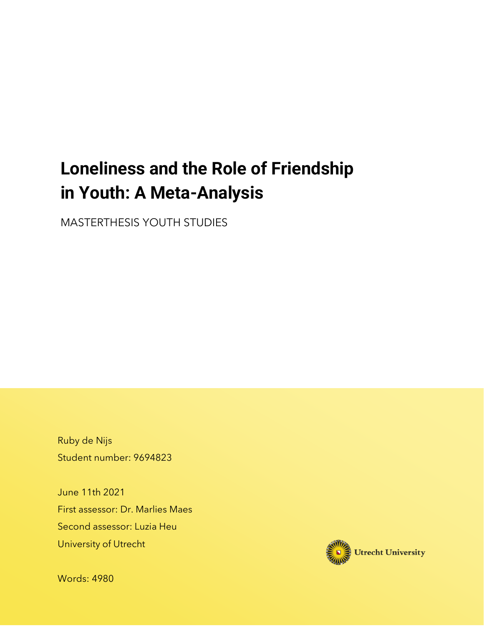# **Loneliness and the Role of Friendship in Youth: A Meta-Analysis**

MASTERTHESIS YOUTH STUDIES

Ruby de Nijs Student number: 9694823

June 11th 2021 First assessor: Dr. Marlies Maes Second assessor: Luzia Heu University of Utrecht



Words: 4980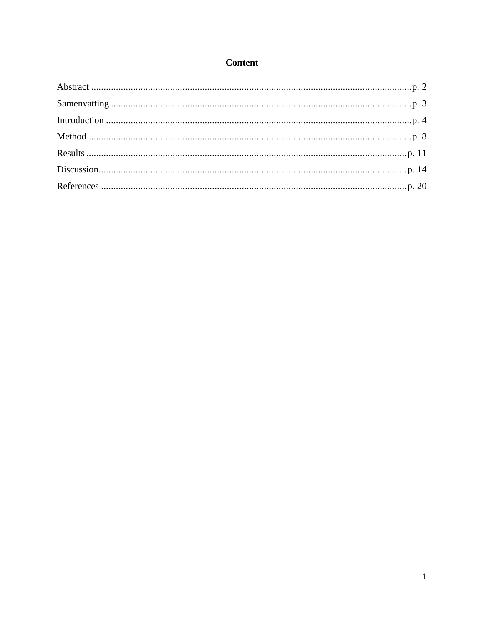# **Content**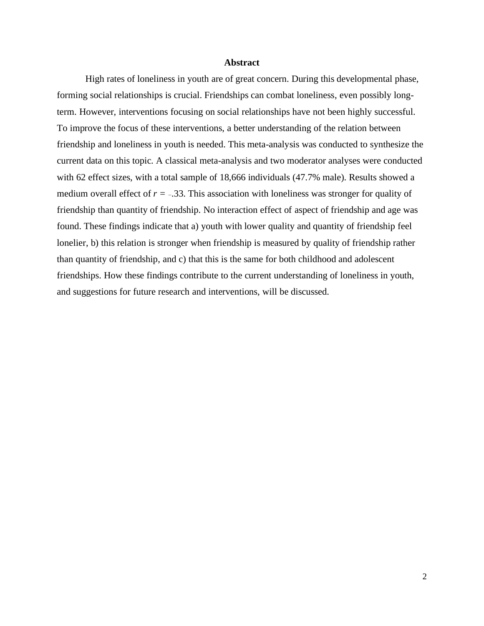# **Abstract**

<span id="page-2-0"></span>High rates of loneliness in youth are of great concern. During this developmental phase, forming social relationships is crucial. Friendships can combat loneliness, even possibly longterm. However, interventions focusing on social relationships have not been highly successful. To improve the focus of these interventions, a better understanding of the relation between friendship and loneliness in youth is needed. This meta-analysis was conducted to synthesize the current data on this topic. A classical meta-analysis and two moderator analyses were conducted with 62 effect sizes, with a total sample of 18,666 individuals (47.7% male). Results showed a medium overall effect of  $r = -.33$ . This association with loneliness was stronger for quality of friendship than quantity of friendship. No interaction effect of aspect of friendship and age was found. These findings indicate that a) youth with lower quality and quantity of friendship feel lonelier, b) this relation is stronger when friendship is measured by quality of friendship rather than quantity of friendship, and c) that this is the same for both childhood and adolescent friendships. How these findings contribute to the current understanding of loneliness in youth, and suggestions for future research and interventions, will be discussed.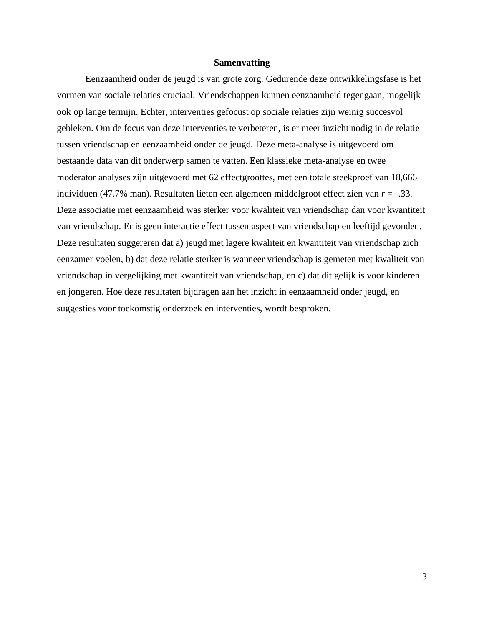## **Samenvatting**

<span id="page-3-0"></span>Eenzaamheid onder de jeugd is van grote zorg. Gedurende deze ontwikkelingsfase is het vormen van sociale relaties cruciaal. Vriendschappen kunnen eenzaamheid tegengaan, mogelijk ook op lange termijn. Echter, interventies gefocust op sociale relaties zijn weinig succesvol gebleken. Om de focus van deze interventies te verbeteren, is er meer inzicht nodig in de relatie tussen vriendschap en eenzaamheid onder de jeugd. Deze meta-analyse is uitgevoerd om bestaande data van dit onderwerp samen te vatten. Een klassieke meta-analyse en twee moderator analyses zijn uitgevoerd met 62 effectgroottes, met een totale steekproef van 18,666 individuen (47.7% man). Resultaten lieten een algemeen middelgroot effect zien van  $r = -.33$ . Deze associatie met eenzaamheid was sterker voor kwaliteit van vriendschap dan voor kwantiteit van vriendschap. Er is geen interactie effect tussen aspect van vriendschap en leeftijd gevonden. Deze resultaten suggereren dat a) jeugd met lagere kwaliteit en kwantiteit van vriendschap zich eenzamer voelen, b) dat deze relatie sterker is wanneer vriendschap is gemeten met kwaliteit van vriendschap in vergelijking met kwantiteit van vriendschap, en c) dat dit gelijk is voor kinderen en jongeren. Hoe deze resultaten bijdragen aan het inzicht in eenzaamheid onder jeugd, en suggesties voor toekomstig onderzoek en interventies, wordt besproken.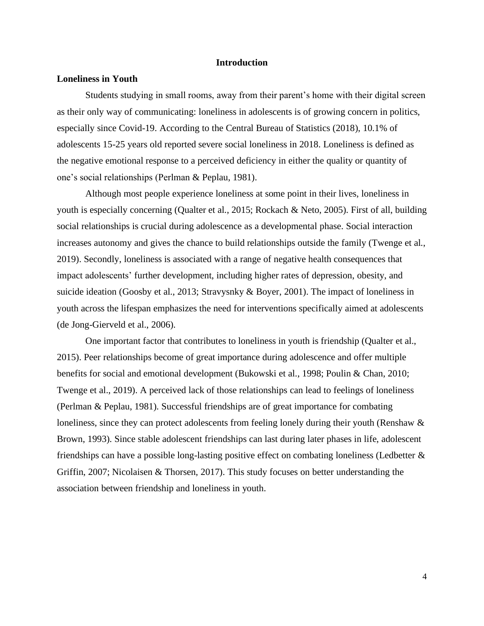## **Introduction**

#### <span id="page-4-0"></span>**Loneliness in Youth**

Students studying in small rooms, away from their parent's home with their digital screen as their only way of communicating: loneliness in adolescents is of growing concern in politics, especially since Covid-19. According to the Central Bureau of Statistics (2018), 10.1% of adolescents 15-25 years old reported severe social loneliness in 2018. Loneliness is defined as the negative emotional response to a perceived deficiency in either the quality or quantity of one's social relationships (Perlman & Peplau, 1981).

Although most people experience loneliness at some point in their lives, loneliness in youth is especially concerning (Qualter et al., 2015; Rockach & Neto, 2005). First of all, building social relationships is crucial during adolescence as a developmental phase. Social interaction increases autonomy and gives the chance to build relationships outside the family (Twenge et al., 2019). Secondly, loneliness is associated with a range of negative health consequences that impact adolescents' further development, including higher rates of depression, obesity, and suicide ideation (Goosby et al., 2013; Stravysnky & Boyer, 2001). The impact of loneliness in youth across the lifespan emphasizes the need for interventions specifically aimed at adolescents (de Jong-Gierveld et al., 2006).

One important factor that contributes to loneliness in youth is friendship (Qualter et al., 2015). Peer relationships become of great importance during adolescence and offer multiple benefits for social and emotional development (Bukowski et al., 1998; Poulin & Chan, 2010; Twenge et al., 2019). A perceived lack of those relationships can lead to feelings of loneliness (Perlman & Peplau, 1981). Successful friendships are of great importance for combating loneliness, since they can protect adolescents from feeling lonely during their youth (Renshaw  $\&$ Brown, 1993). Since stable adolescent friendships can last during later phases in life, adolescent friendships can have a possible long-lasting positive effect on combating loneliness (Ledbetter & Griffin, 2007; Nicolaisen & Thorsen, 2017). This study focuses on better understanding the association between friendship and loneliness in youth.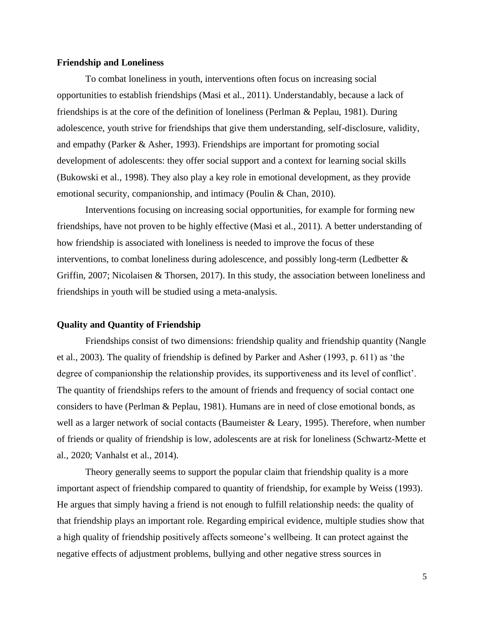#### **Friendship and Loneliness**

To combat loneliness in youth, interventions often focus on increasing social opportunities to establish friendships (Masi et al., 2011). Understandably, because a lack of friendships is at the core of the definition of loneliness (Perlman & Peplau, 1981). During adolescence, youth strive for friendships that give them understanding, self-disclosure, validity, and empathy (Parker & Asher, 1993). Friendships are important for promoting social development of adolescents: they offer social support and a context for learning social skills (Bukowski et al., 1998). They also play a key role in emotional development, as they provide emotional security, companionship, and intimacy (Poulin & Chan, 2010).

Interventions focusing on increasing social opportunities, for example for forming new friendships, have not proven to be highly effective (Masi et al., 2011). A better understanding of how friendship is associated with loneliness is needed to improve the focus of these interventions, to combat loneliness during adolescence, and possibly long-term (Ledbetter & Griffin, 2007; Nicolaisen & Thorsen, 2017). In this study, the association between loneliness and friendships in youth will be studied using a meta-analysis.

## **Quality and Quantity of Friendship**

Friendships consist of two dimensions: friendship quality and friendship quantity (Nangle et al., 2003). The quality of friendship is defined by Parker and Asher (1993, p. 611) as 'the degree of companionship the relationship provides, its supportiveness and its level of conflict'. The quantity of friendships refers to the amount of friends and frequency of social contact one considers to have (Perlman & Peplau, 1981). Humans are in need of close emotional bonds, as well as a larger network of social contacts (Baumeister & Leary, 1995). Therefore, when number of friends or quality of friendship is low, adolescents are at risk for loneliness (Schwartz-Mette et al., 2020; Vanhalst et al., 2014).

Theory generally seems to support the popular claim that friendship quality is a more important aspect of friendship compared to quantity of friendship, for example by Weiss (1993). He argues that simply having a friend is not enough to fulfill relationship needs: the quality of that friendship plays an important role. Regarding empirical evidence, multiple studies show that a high quality of friendship positively affects someone's wellbeing. It can protect against the negative effects of adjustment problems, bullying and other negative stress sources in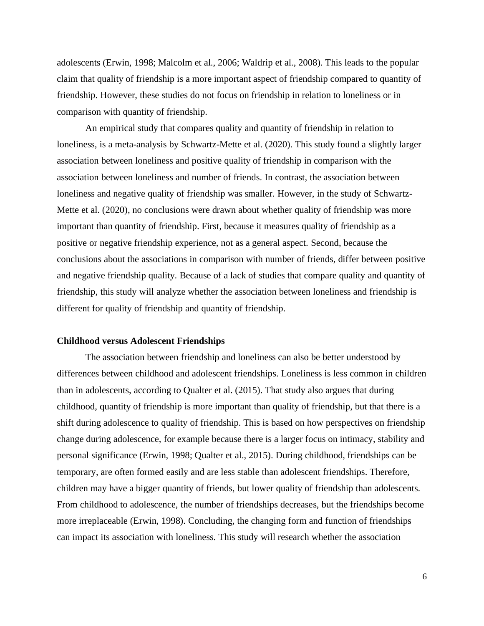adolescents (Erwin, 1998; Malcolm et al., 2006; Waldrip et al., 2008). This leads to the popular claim that quality of friendship is a more important aspect of friendship compared to quantity of friendship. However, these studies do not focus on friendship in relation to loneliness or in comparison with quantity of friendship.

An empirical study that compares quality and quantity of friendship in relation to loneliness, is a meta-analysis by Schwartz-Mette et al. (2020). This study found a slightly larger association between loneliness and positive quality of friendship in comparison with the association between loneliness and number of friends. In contrast, the association between loneliness and negative quality of friendship was smaller. However, in the study of Schwartz-Mette et al. (2020), no conclusions were drawn about whether quality of friendship was more important than quantity of friendship. First, because it measures quality of friendship as a positive or negative friendship experience, not as a general aspect. Second, because the conclusions about the associations in comparison with number of friends, differ between positive and negative friendship quality. Because of a lack of studies that compare quality and quantity of friendship, this study will analyze whether the association between loneliness and friendship is different for quality of friendship and quantity of friendship.

# **Childhood versus Adolescent Friendships**

The association between friendship and loneliness can also be better understood by differences between childhood and adolescent friendships. Loneliness is less common in children than in adolescents, according to Qualter et al. (2015). That study also argues that during childhood, quantity of friendship is more important than quality of friendship, but that there is a shift during adolescence to quality of friendship. This is based on how perspectives on friendship change during adolescence, for example because there is a larger focus on intimacy, stability and personal significance (Erwin, 1998; Qualter et al., 2015). During childhood, friendships can be temporary, are often formed easily and are less stable than adolescent friendships. Therefore, children may have a bigger quantity of friends, but lower quality of friendship than adolescents. From childhood to adolescence, the number of friendships decreases, but the friendships become more irreplaceable (Erwin, 1998). Concluding, the changing form and function of friendships can impact its association with loneliness. This study will research whether the association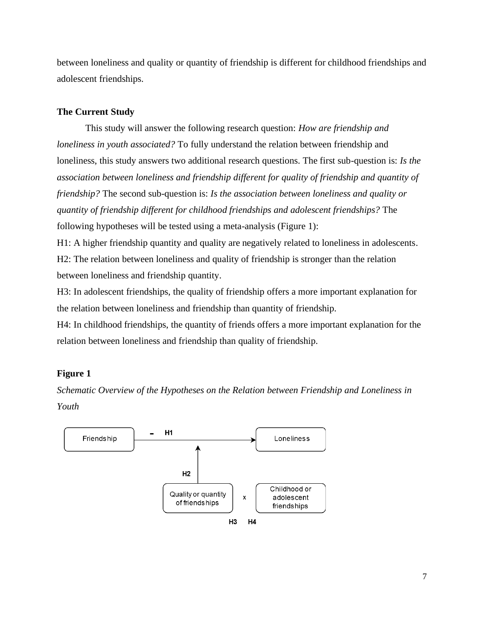between loneliness and quality or quantity of friendship is different for childhood friendships and adolescent friendships.

# **The Current Study**

This study will answer the following research question: *How are friendship and loneliness in youth associated?* To fully understand the relation between friendship and loneliness, this study answers two additional research questions. The first sub-question is: *Is the association between loneliness and friendship different for quality of friendship and quantity of friendship?* The second sub-question is: *Is the association between loneliness and quality or quantity of friendship different for childhood friendships and adolescent friendships?* The following hypotheses will be tested using a meta-analysis (Figure 1):

H1: A higher friendship quantity and quality are negatively related to loneliness in adolescents. H2: The relation between loneliness and quality of friendship is stronger than the relation between loneliness and friendship quantity.

H3: In adolescent friendships, the quality of friendship offers a more important explanation for the relation between loneliness and friendship than quantity of friendship.

H4: In childhood friendships, the quantity of friends offers a more important explanation for the relation between loneliness and friendship than quality of friendship.

# **Figure 1**

*Schematic Overview of the Hypotheses on the Relation between Friendship and Loneliness in Youth*

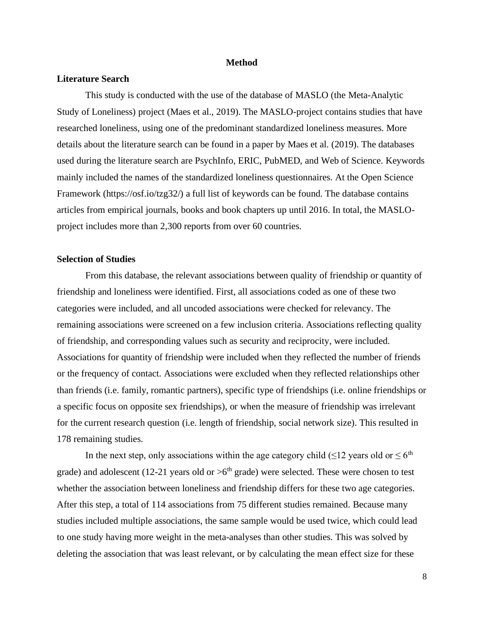#### **Method**

### <span id="page-8-0"></span>**Literature Search**

This study is conducted with the use of the database of MASLO (the Meta-Analytic Study of Loneliness) project (Maes et al., 2019). The MASLO-project contains studies that have researched loneliness, using one of the predominant standardized loneliness measures. More details about the literature search can be found in a paper by Maes et al. (2019). The databases used during the literature search are PsychInfo, ERIC, PubMED, and Web of Science. Keywords mainly included the names of the standardized loneliness questionnaires. At the Open Science Framework (https://osf.io/tzg32/) a full list of keywords can be found. The database contains articles from empirical journals, books and book chapters up until 2016. In total, the MASLOproject includes more than 2,300 reports from over 60 countries.

# **Selection of Studies**

From this database, the relevant associations between quality of friendship or quantity of friendship and loneliness were identified. First, all associations coded as one of these two categories were included, and all uncoded associations were checked for relevancy. The remaining associations were screened on a few inclusion criteria. Associations reflecting quality of friendship, and corresponding values such as security and reciprocity, were included. Associations for quantity of friendship were included when they reflected the number of friends or the frequency of contact. Associations were excluded when they reflected relationships other than friends (i.e. family, romantic partners), specific type of friendships (i.e. online friendships or a specific focus on opposite sex friendships), or when the measure of friendship was irrelevant for the current research question (i.e. length of friendship, social network size). This resulted in 178 remaining studies.

In the next step, only associations within the age category child ( $\leq 12$  years old or  $\leq 6$ <sup>th</sup> grade) and adolescent (12-21 years old or  $>6<sup>th</sup>$  grade) were selected. These were chosen to test whether the association between loneliness and friendship differs for these two age categories. After this step, a total of 114 associations from 75 different studies remained. Because many studies included multiple associations, the same sample would be used twice, which could lead to one study having more weight in the meta-analyses than other studies. This was solved by deleting the association that was least relevant, or by calculating the mean effect size for these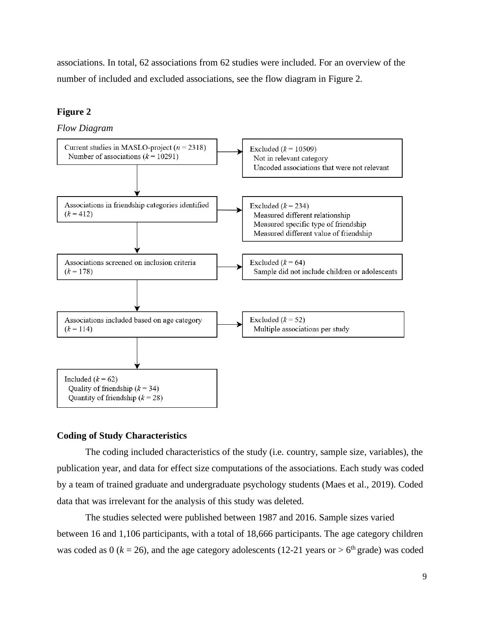associations. In total, 62 associations from 62 studies were included. For an overview of the number of included and excluded associations, see the flow diagram in Figure 2.

# **Figure 2**

*Flow Diagram*



# **Coding of Study Characteristics**

The coding included characteristics of the study (i.e. country, sample size, variables), the publication year, and data for effect size computations of the associations. Each study was coded by a team of trained graduate and undergraduate psychology students (Maes et al., 2019). Coded data that was irrelevant for the analysis of this study was deleted.

The studies selected were published between 1987 and 2016. Sample sizes varied between 16 and 1,106 participants, with a total of 18,666 participants. The age category children was coded as 0 ( $k = 26$ ), and the age category adolescents (12-21 years or  $> 6<sup>th</sup>$  grade) was coded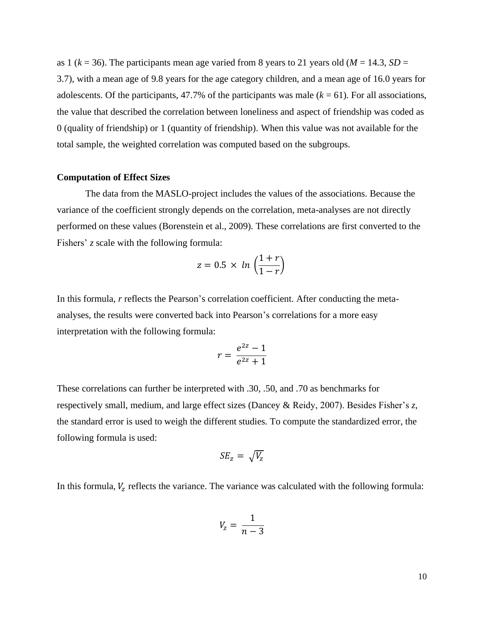as 1 ( $k = 36$ ). The participants mean age varied from 8 years to 21 years old ( $M = 14.3$ ,  $SD =$ 3.7), with a mean age of 9.8 years for the age category children, and a mean age of 16.0 years for adolescents. Of the participants,  $47.7\%$  of the participants was male  $(k = 61)$ . For all associations, the value that described the correlation between loneliness and aspect of friendship was coded as 0 (quality of friendship) or 1 (quantity of friendship). When this value was not available for the total sample, the weighted correlation was computed based on the subgroups.

# **Computation of Effect Sizes**

The data from the MASLO-project includes the values of the associations. Because the variance of the coefficient strongly depends on the correlation, meta-analyses are not directly performed on these values (Borenstein et al., 2009). These correlations are first converted to the Fishers' *z* scale with the following formula:

$$
z = 0.5 \times \ln\left(\frac{1+r}{1-r}\right)
$$

In this formula, *r* reflects the Pearson's correlation coefficient. After conducting the metaanalyses, the results were converted back into Pearson's correlations for a more easy interpretation with the following formula:

$$
r = \frac{e^{2z} - 1}{e^{2z} + 1}
$$

These correlations can further be interpreted with .30, .50, and .70 as benchmarks for respectively small, medium, and large effect sizes (Dancey & Reidy, 2007). Besides Fisher's *z*, the standard error is used to weigh the different studies. To compute the standardized error, the following formula is used:

$$
SE_z = \sqrt{V_z}
$$

In this formula,  $V_z$  reflects the variance. The variance was calculated with the following formula:

$$
V_z = \frac{1}{n-3}
$$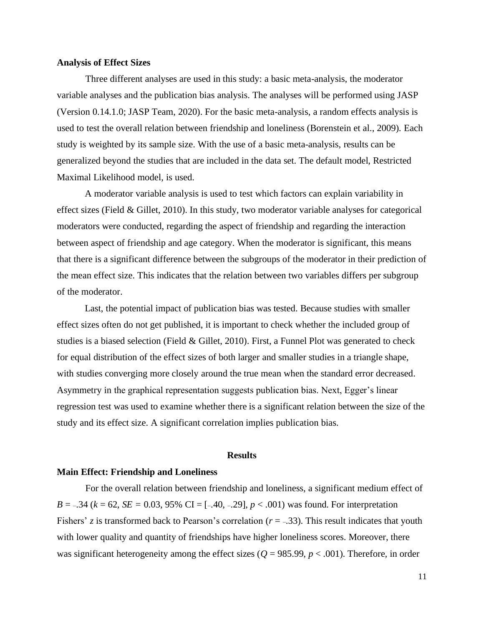#### **Analysis of Effect Sizes**

Three different analyses are used in this study: a basic meta-analysis, the moderator variable analyses and the publication bias analysis. The analyses will be performed using JASP (Version 0.14.1.0; JASP Team, 2020). For the basic meta-analysis, a random effects analysis is used to test the overall relation between friendship and loneliness (Borenstein et al., 2009). Each study is weighted by its sample size. With the use of a basic meta-analysis, results can be generalized beyond the studies that are included in the data set. The default model, Restricted Maximal Likelihood model, is used.

A moderator variable analysis is used to test which factors can explain variability in effect sizes (Field & Gillet, 2010). In this study, two moderator variable analyses for categorical moderators were conducted, regarding the aspect of friendship and regarding the interaction between aspect of friendship and age category. When the moderator is significant, this means that there is a significant difference between the subgroups of the moderator in their prediction of the mean effect size. This indicates that the relation between two variables differs per subgroup of the moderator.

Last, the potential impact of publication bias was tested. Because studies with smaller effect sizes often do not get published, it is important to check whether the included group of studies is a biased selection (Field & Gillet, 2010). First, a Funnel Plot was generated to check for equal distribution of the effect sizes of both larger and smaller studies in a triangle shape, with studies converging more closely around the true mean when the standard error decreased. Asymmetry in the graphical representation suggests publication bias. Next, Egger's linear regression test was used to examine whether there is a significant relation between the size of the study and its effect size. A significant correlation implies publication bias.

#### **Results**

#### <span id="page-11-0"></span>**Main Effect: Friendship and Loneliness**

For the overall relation between friendship and loneliness, a significant medium effect of *B* =  $-.34$  ( $k = 62$ , *SE* = 0.03, 95% CI = [ $-.40, -.29$ ],  $p < .001$ ) was found. For interpretation Fishers' *z* is transformed back to Pearson's correlation ( $r = -.33$ ). This result indicates that youth with lower quality and quantity of friendships have higher loneliness scores. Moreover, there was significant heterogeneity among the effect sizes ( $Q = 985.99$ ,  $p < .001$ ). Therefore, in order

11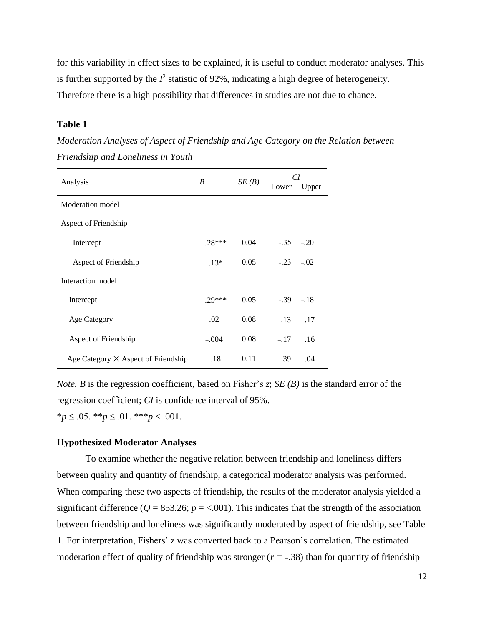for this variability in effect sizes to be explained, it is useful to conduct moderator analyses. This is further supported by the  $I^2$  statistic of 92%, indicating a high degree of heterogeneity. Therefore there is a high possibility that differences in studies are not due to chance.

## **Table 1**

*Moderation Analyses of Aspect of Friendship and Age Category on the Relation between Friendship and Loneliness in Youth*

| Analysis                                   | B         | SE(B) | CI<br>Lower | Upper  |
|--------------------------------------------|-----------|-------|-------------|--------|
| Moderation model                           |           |       |             |        |
| Aspect of Friendship                       |           |       |             |        |
| Intercept                                  | $-.28***$ | 0.04  | $-.35-.20$  |        |
| Aspect of Friendship                       | $-.13*$   | 0.05  | $-.23-.02$  |        |
| Interaction model                          |           |       |             |        |
| Intercept                                  | $-29***$  | 0.05  | $-.39$      | $-.18$ |
| <b>Age Category</b>                        | .02       | 0.08  | $-.13$      | .17    |
| Aspect of Friendship                       | $-.004$   | 0.08  | $-.17$      | .16    |
| Age Category $\times$ Aspect of Friendship | $-.18$    | 0.11  | $-.39$      | .04    |

*Note. B* is the regression coefficient, based on Fisher's *z*; *SE (B)* is the standard error of the regression coefficient; *CI* is confidence interval of 95%.

\**p* ≤ .05. \*\**p* ≤ .01. \*\*\**p* < .001.

## **Hypothesized Moderator Analyses**

To examine whether the negative relation between friendship and loneliness differs between quality and quantity of friendship, a categorical moderator analysis was performed. When comparing these two aspects of friendship, the results of the moderator analysis yielded a significant difference ( $Q = 853.26$ ;  $p = < .001$ ). This indicates that the strength of the association between friendship and loneliness was significantly moderated by aspect of friendship, see Table 1. For interpretation, Fishers' *z* was converted back to a Pearson's correlation*.* The estimated moderation effect of quality of friendship was stronger  $(r = -.38)$  than for quantity of friendship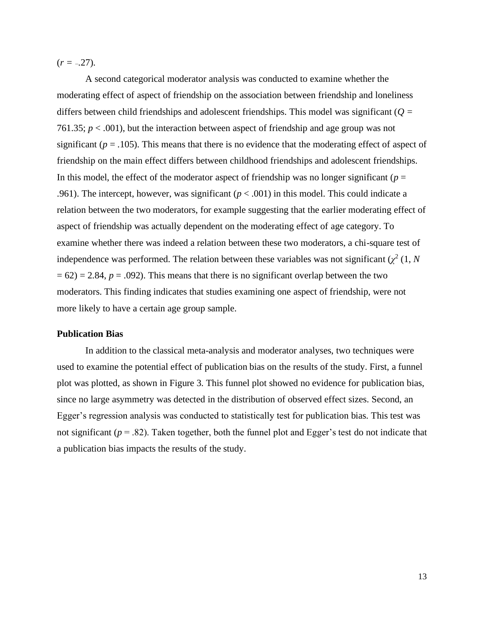$(r = -.27)$ .

A second categorical moderator analysis was conducted to examine whether the moderating effect of aspect of friendship on the association between friendship and loneliness differs between child friendships and adolescent friendships. This model was significant (*Q =*  761.35;  $p < .001$ ), but the interaction between aspect of friendship and age group was not significant  $(p = .105)$ . This means that there is no evidence that the moderating effect of aspect of friendship on the main effect differs between childhood friendships and adolescent friendships. In this model, the effect of the moderator aspect of friendship was no longer significant ( $p =$ .961). The intercept, however, was significant  $(p < .001)$  in this model. This could indicate a relation between the two moderators, for example suggesting that the earlier moderating effect of aspect of friendship was actually dependent on the moderating effect of age category. To examine whether there was indeed a relation between these two moderators, a chi-square test of independence was performed. The relation between these variables was not significant  $(\chi^2(1, N))$  $= 62$ ) = 2.84,  $p = .092$ ). This means that there is no significant overlap between the two moderators. This finding indicates that studies examining one aspect of friendship, were not more likely to have a certain age group sample.

## **Publication Bias**

In addition to the classical meta-analysis and moderator analyses, two techniques were used to examine the potential effect of publication bias on the results of the study. First, a funnel plot was plotted, as shown in Figure 3. This funnel plot showed no evidence for publication bias, since no large asymmetry was detected in the distribution of observed effect sizes. Second, an Egger's regression analysis was conducted to statistically test for publication bias. This test was not significant ( $p = .82$ ). Taken together, both the funnel plot and Egger's test do not indicate that a publication bias impacts the results of the study.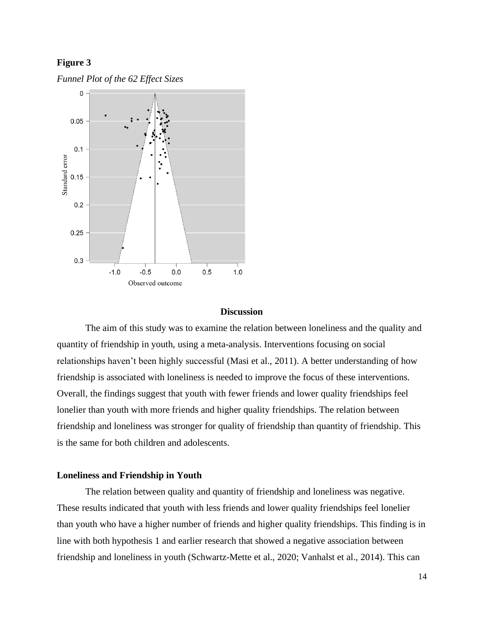# **Figure 3**





#### **Discussion**

<span id="page-14-0"></span>The aim of this study was to examine the relation between loneliness and the quality and quantity of friendship in youth, using a meta-analysis. Interventions focusing on social relationships haven't been highly successful (Masi et al., 2011). A better understanding of how friendship is associated with loneliness is needed to improve the focus of these interventions. Overall, the findings suggest that youth with fewer friends and lower quality friendships feel lonelier than youth with more friends and higher quality friendships. The relation between friendship and loneliness was stronger for quality of friendship than quantity of friendship. This is the same for both children and adolescents.

# **Loneliness and Friendship in Youth**

The relation between quality and quantity of friendship and loneliness was negative. These results indicated that youth with less friends and lower quality friendships feel lonelier than youth who have a higher number of friends and higher quality friendships. This finding is in line with both hypothesis 1 and earlier research that showed a negative association between friendship and loneliness in youth (Schwartz-Mette et al., 2020; Vanhalst et al., 2014). This can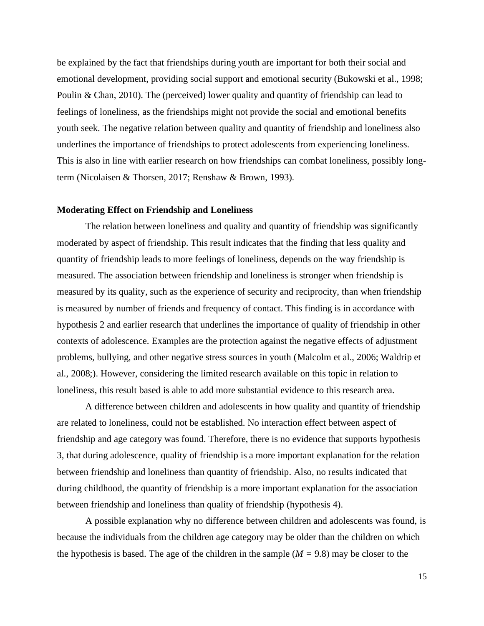be explained by the fact that friendships during youth are important for both their social and emotional development, providing social support and emotional security (Bukowski et al., 1998; Poulin & Chan, 2010). The (perceived) lower quality and quantity of friendship can lead to feelings of loneliness, as the friendships might not provide the social and emotional benefits youth seek. The negative relation between quality and quantity of friendship and loneliness also underlines the importance of friendships to protect adolescents from experiencing loneliness. This is also in line with earlier research on how friendships can combat loneliness, possibly longterm (Nicolaisen & Thorsen, 2017; Renshaw & Brown, 1993).

# **Moderating Effect on Friendship and Loneliness**

The relation between loneliness and quality and quantity of friendship was significantly moderated by aspect of friendship. This result indicates that the finding that less quality and quantity of friendship leads to more feelings of loneliness, depends on the way friendship is measured. The association between friendship and loneliness is stronger when friendship is measured by its quality, such as the experience of security and reciprocity, than when friendship is measured by number of friends and frequency of contact. This finding is in accordance with hypothesis 2 and earlier research that underlines the importance of quality of friendship in other contexts of adolescence. Examples are the protection against the negative effects of adjustment problems, bullying, and other negative stress sources in youth (Malcolm et al., 2006; Waldrip et al., 2008;). However, considering the limited research available on this topic in relation to loneliness, this result based is able to add more substantial evidence to this research area.

A difference between children and adolescents in how quality and quantity of friendship are related to loneliness, could not be established. No interaction effect between aspect of friendship and age category was found. Therefore, there is no evidence that supports hypothesis 3, that during adolescence, quality of friendship is a more important explanation for the relation between friendship and loneliness than quantity of friendship. Also, no results indicated that during childhood, the quantity of friendship is a more important explanation for the association between friendship and loneliness than quality of friendship (hypothesis 4).

A possible explanation why no difference between children and adolescents was found, is because the individuals from the children age category may be older than the children on which the hypothesis is based. The age of the children in the sample  $(M = 9.8)$  may be closer to the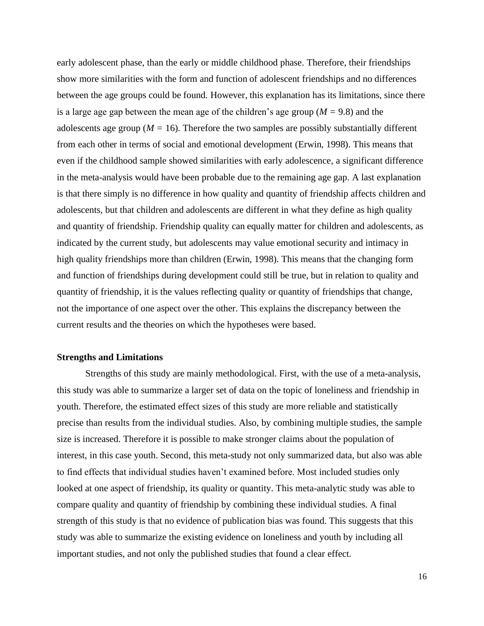early adolescent phase, than the early or middle childhood phase. Therefore, their friendships show more similarities with the form and function of adolescent friendships and no differences between the age groups could be found. However, this explanation has its limitations, since there is a large age gap between the mean age of the children's age group (*M =* 9.8) and the adolescents age group ( $M = 16$ ). Therefore the two samples are possibly substantially different from each other in terms of social and emotional development (Erwin, 1998). This means that even if the childhood sample showed similarities with early adolescence, a significant difference in the meta-analysis would have been probable due to the remaining age gap. A last explanation is that there simply is no difference in how quality and quantity of friendship affects children and adolescents, but that children and adolescents are different in what they define as high quality and quantity of friendship. Friendship quality can equally matter for children and adolescents, as indicated by the current study, but adolescents may value emotional security and intimacy in high quality friendships more than children (Erwin, 1998). This means that the changing form and function of friendships during development could still be true, but in relation to quality and quantity of friendship, it is the values reflecting quality or quantity of friendships that change, not the importance of one aspect over the other. This explains the discrepancy between the current results and the theories on which the hypotheses were based.

# **Strengths and Limitations**

Strengths of this study are mainly methodological. First, with the use of a meta-analysis, this study was able to summarize a larger set of data on the topic of loneliness and friendship in youth. Therefore, the estimated effect sizes of this study are more reliable and statistically precise than results from the individual studies. Also, by combining multiple studies, the sample size is increased. Therefore it is possible to make stronger claims about the population of interest, in this case youth. Second, this meta-study not only summarized data, but also was able to find effects that individual studies haven't examined before. Most included studies only looked at one aspect of friendship, its quality or quantity. This meta-analytic study was able to compare quality and quantity of friendship by combining these individual studies. A final strength of this study is that no evidence of publication bias was found. This suggests that this study was able to summarize the existing evidence on loneliness and youth by including all important studies, and not only the published studies that found a clear effect.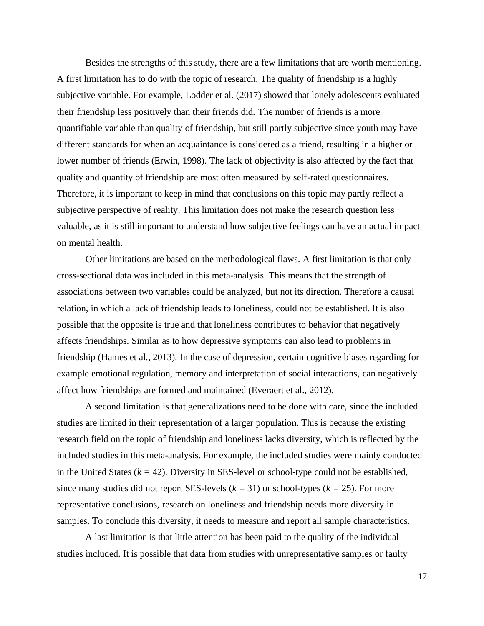Besides the strengths of this study, there are a few limitations that are worth mentioning. A first limitation has to do with the topic of research. The quality of friendship is a highly subjective variable. For example, Lodder et al. (2017) showed that lonely adolescents evaluated their friendship less positively than their friends did. The number of friends is a more quantifiable variable than quality of friendship, but still partly subjective since youth may have different standards for when an acquaintance is considered as a friend, resulting in a higher or lower number of friends (Erwin, 1998). The lack of objectivity is also affected by the fact that quality and quantity of friendship are most often measured by self-rated questionnaires. Therefore, it is important to keep in mind that conclusions on this topic may partly reflect a subjective perspective of reality. This limitation does not make the research question less valuable, as it is still important to understand how subjective feelings can have an actual impact on mental health.

Other limitations are based on the methodological flaws. A first limitation is that only cross-sectional data was included in this meta-analysis. This means that the strength of associations between two variables could be analyzed, but not its direction. Therefore a causal relation, in which a lack of friendship leads to loneliness, could not be established. It is also possible that the opposite is true and that loneliness contributes to behavior that negatively affects friendships. Similar as to how depressive symptoms can also lead to problems in friendship (Hames et al., 2013). In the case of depression, certain cognitive biases regarding for example emotional regulation, memory and interpretation of social interactions, can negatively affect how friendships are formed and maintained (Everaert et al., 2012).

A second limitation is that generalizations need to be done with care, since the included studies are limited in their representation of a larger population. This is because the existing research field on the topic of friendship and loneliness lacks diversity, which is reflected by the included studies in this meta-analysis. For example, the included studies were mainly conducted in the United States  $(k = 42)$ . Diversity in SES-level or school-type could not be established, since many studies did not report SES-levels (*k =* 31) or school-types (*k =* 25). For more representative conclusions, research on loneliness and friendship needs more diversity in samples. To conclude this diversity, it needs to measure and report all sample characteristics.

A last limitation is that little attention has been paid to the quality of the individual studies included. It is possible that data from studies with unrepresentative samples or faulty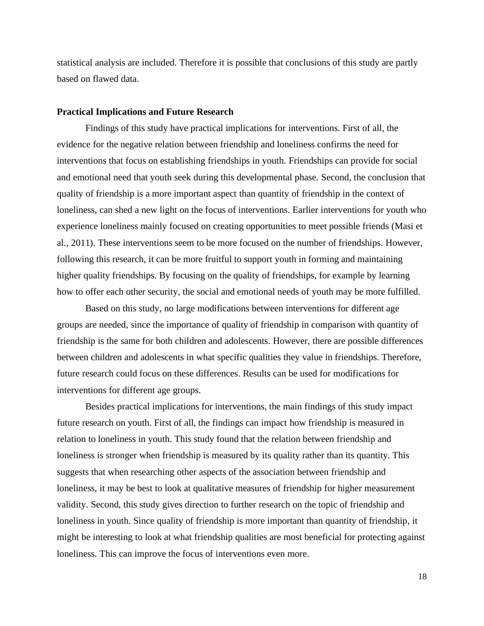statistical analysis are included. Therefore it is possible that conclusions of this study are partly based on flawed data.

#### **Practical Implications and Future Research**

Findings of this study have practical implications for interventions. First of all, the evidence for the negative relation between friendship and loneliness confirms the need for interventions that focus on establishing friendships in youth. Friendships can provide for social and emotional need that youth seek during this developmental phase. Second, the conclusion that quality of friendship is a more important aspect than quantity of friendship in the context of loneliness, can shed a new light on the focus of interventions. Earlier interventions for youth who experience loneliness mainly focused on creating opportunities to meet possible friends (Masi et al., 2011). These interventions seem to be more focused on the number of friendships. However, following this research, it can be more fruitful to support youth in forming and maintaining higher quality friendships. By focusing on the quality of friendships, for example by learning how to offer each other security, the social and emotional needs of youth may be more fulfilled.

Based on this study, no large modifications between interventions for different age groups are needed, since the importance of quality of friendship in comparison with quantity of friendship is the same for both children and adolescents. However, there are possible differences between children and adolescents in what specific qualities they value in friendships. Therefore, future research could focus on these differences. Results can be used for modifications for interventions for different age groups.

Besides practical implications for interventions, the main findings of this study impact future research on youth. First of all, the findings can impact how friendship is measured in relation to loneliness in youth. This study found that the relation between friendship and loneliness is stronger when friendship is measured by its quality rather than its quantity. This suggests that when researching other aspects of the association between friendship and loneliness, it may be best to look at qualitative measures of friendship for higher measurement validity. Second, this study gives direction to further research on the topic of friendship and loneliness in youth. Since quality of friendship is more important than quantity of friendship, it might be interesting to look at what friendship qualities are most beneficial for protecting against loneliness. This can improve the focus of interventions even more.

18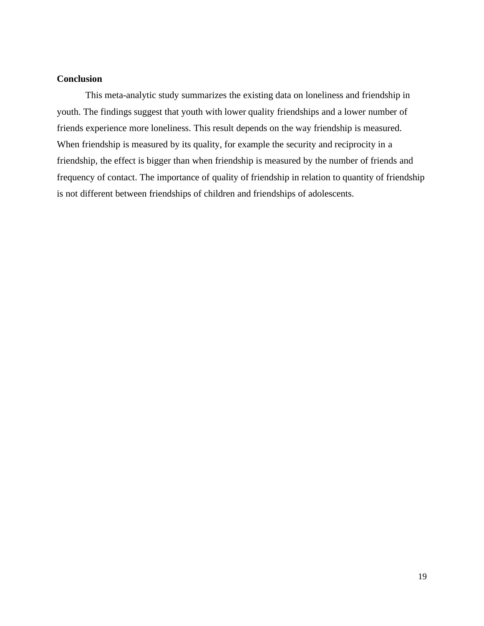# **Conclusion**

This meta-analytic study summarizes the existing data on loneliness and friendship in youth. The findings suggest that youth with lower quality friendships and a lower number of friends experience more loneliness. This result depends on the way friendship is measured. When friendship is measured by its quality, for example the security and reciprocity in a friendship, the effect is bigger than when friendship is measured by the number of friends and frequency of contact. The importance of quality of friendship in relation to quantity of friendship is not different between friendships of children and friendships of adolescents.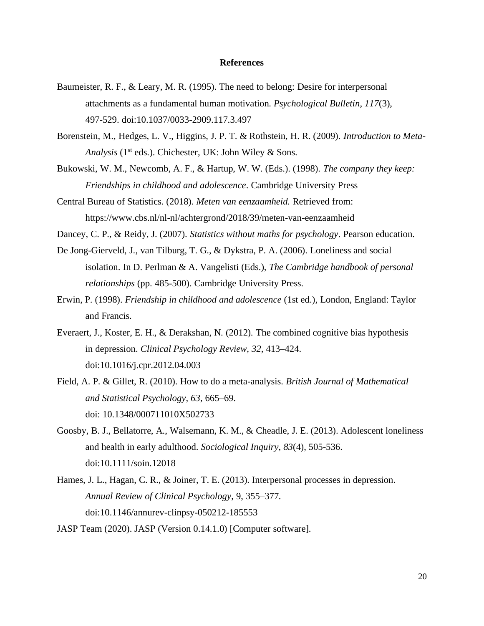# **References**

- <span id="page-20-0"></span>Baumeister, R. F., & Leary, M. R. (1995). The need to belong: Desire for interpersonal attachments as a fundamental human motivation. *Psychological Bulletin*, *117*(3), 497-529. doi:10.1037/0033-2909.117.3.497
- Borenstein, M., Hedges, L. V., Higgins, J. P. T. & Rothstein, H. R. (2009). *Introduction to Meta-*Analysis<sup>(1st eds.). Chichester, UK: John Wiley & Sons.</sup>
- Bukowski, W. M., Newcomb, A. F., & Hartup, W. W. (Eds.). (1998). *The company they keep: Friendships in childhood and adolescence*. Cambridge University Press
- Central Bureau of Statistics. (2018). *Meten van eenzaamheid.* Retrieved from: https://www.cbs.nl/nl-nl/achtergrond/2018/39/meten-van-eenzaamheid
- Dancey, C. P., & Reidy, J. (2007). *Statistics without maths for psychology*. Pearson education.
- De Jong-Gierveld, J., van Tilburg, T. G., & Dykstra, P. A. (2006). Loneliness and social isolation. In D. Perlman & A. Vangelisti (Eds.), *The Cambridge handbook of personal relationships* (pp. 485-500). Cambridge University Press.
- Erwin, P. (1998). *Friendship in childhood and adolescence* (1st ed.)*,* London, England: Taylor and Francis.
- Everaert, J., Koster, E. H., & Derakshan, N. (2012). The combined cognitive bias hypothesis in depression. *Clinical Psychology Review, 32,* 413–424. doi:10.1016/j.cpr.2012.04.003
- Field, A. P. & Gillet, R. (2010). How to do a meta-analysis. *British Journal of Mathematical and Statistical Psychology, 63*, 665–69. doi: 10.1348/000711010X502733
- Goosby, B. J., Bellatorre, A., Walsemann, K. M., & Cheadle, J. E. (2013). Adolescent loneliness and health in early adulthood. *Sociological Inquiry*, *83*(4), 505-536. doi:10.1111/soin.12018
- Hames, J. L., Hagan, C. R., & Joiner, T. E. (2013). Interpersonal processes in depression. *Annual Review of Clinical Psychology*, 9, 355–377. doi:10.1146/annurev-clinpsy-050212-185553
- JASP Team (2020). JASP (Version 0.14.1.0) [Computer software].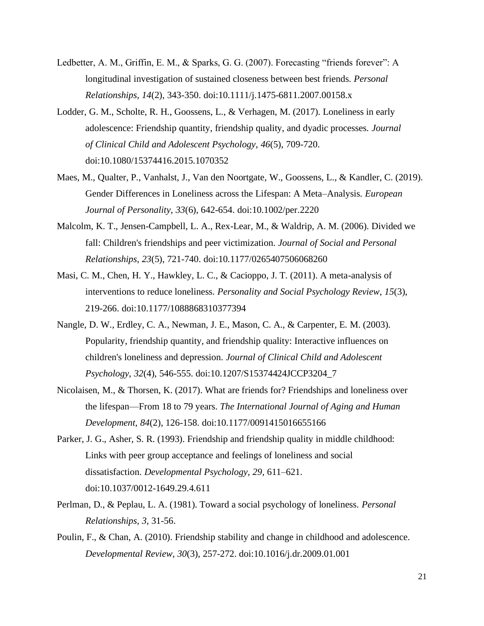- Ledbetter, A. M., Griffin, E. M., & Sparks, G. G. (2007). Forecasting "friends forever": A longitudinal investigation of sustained closeness between best friends. *Personal Relationships*, *14*(2), 343-350. doi:10.1111/j.1475-6811.2007.00158.x
- Lodder, G. M., Scholte, R. H., Goossens, L., & Verhagen, M. (2017). Loneliness in early adolescence: Friendship quantity, friendship quality, and dyadic processes. *Journal of Clinical Child and Adolescent Psychology*, *46*(5), 709-720. doi:10.1080/15374416.2015.1070352
- Maes, M., Qualter, P., Vanhalst, J., Van den Noortgate, W., Goossens, L., & Kandler, C. (2019). Gender Differences in Loneliness across the Lifespan: A Meta–Analysis. *European Journal of Personality*, *33*(6), 642-654. doi:10.1002/per.2220
- Malcolm, K. T., Jensen-Campbell, L. A., Rex-Lear, M., & Waldrip, A. M. (2006). Divided we fall: Children's friendships and peer victimization. *Journal of Social and Personal Relationships*, *23*(5), 721-740. doi:10.1177/0265407506068260
- Masi, C. M., Chen, H. Y., Hawkley, L. C., & Cacioppo, J. T. (2011). A meta-analysis of interventions to reduce loneliness. *Personality and Social Psychology Review*, *15*(3), 219-266. doi:10.1177/1088868310377394
- Nangle, D. W., Erdley, C. A., Newman, J. E., Mason, C. A., & Carpenter, E. M. (2003). Popularity, friendship quantity, and friendship quality: Interactive influences on children's loneliness and depression. *Journal of Clinical Child and Adolescent Psychology*, *32*(4), 546-555. doi:10.1207/S15374424JCCP3204\_7
- Nicolaisen, M., & Thorsen, K. (2017). What are friends for? Friendships and loneliness over the lifespan—From 18 to 79 years. *The International Journal of Aging and Human Development*, *84*(2), 126-158. doi:10.1177/0091415016655166
- Parker, J. G., Asher, S. R. (1993). Friendship and friendship quality in middle childhood: Links with peer group acceptance and feelings of loneliness and social dissatisfaction. *Developmental Psychology, 29*, 611–621. doi:10.1037/0012-1649.29.4.611
- Perlman, D., & Peplau, L. A. (1981). Toward a social psychology of loneliness. *Personal Relationships, 3*, 31-56.
- Poulin, F., & Chan, A. (2010). Friendship stability and change in childhood and adolescence. *Developmental Review*, *30*(3), 257-272. doi:10.1016/j.dr.2009.01.001